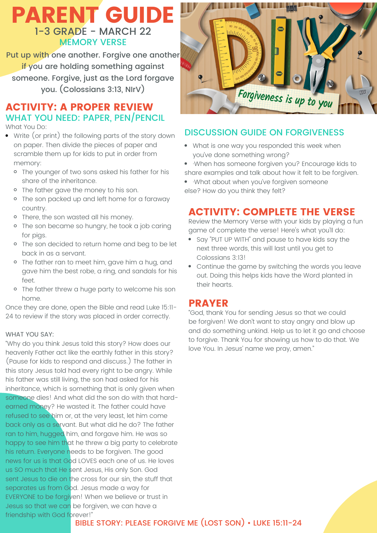## PARENT GUIDE 1-3 GRADE - MARCH 22 MEMORY VERSE

Put up with one another. Forgive one another if you are holding something against someone. Forgive, just as the Lord forgave you. (Colossians 3:13, NIrV)

### ACTIVITY: A PROPER REVIEW WHAT YOU NEED: PAPER, PEN/PENCIL

What You Do:

- Write (or print) the following parts of the story down on paper. Then divide the pieces of paper and scramble them up for kids to put in order from memory:
	- o The younger of two sons asked his father for his share of the inheritance.
	- o The father gave the money to his son.
	- o The son packed up and left home for a faraway country.
	- o There, the son wasted all his money.
	- <sup>o</sup> The son became so hungry, he took a job caring for pigs.
	- o The son decided to return home and beg to be let back in as a servant.
	- The father ran to meet him, gave him a hug, and gave him the best robe, a ring, and sandals for his feet.
	- o The father threw a huge party to welcome his son home.

Once they are done, open the Bible and read Luke 15:11- 24 to review if the story was placed in order correctly.

#### WHAT YOU SAY:

"Why do you think Jesus told this story? How does our heavenly Father act like the earthly father in this story? (Pause for kids to respond and discuss.) The father in this story Jesus told had every right to be angry. While his father was still living, the son had asked for his inheritance, which is something that is only given when someone dies! And what did the son do with that hardearned money? He wasted it. The father could have refused to see him or, at the very least, let him come back only as a servant. But what did he do? The father ran to him, hugged him, and forgave him. He was so happy to see him that he threw a big party to celebrate his return. Everyone needs to be forgiven. The good news for us is that God LOVES each one of us. He loves us SO much that He sent Jesus, His only Son. God sent Jesus to die on the cross for our sin, the stuff that separates us from God. Jesus made a way for EVERYONE to be forgiven! When we believe or trust in Jesus so that we can be forgiven, we can have a friendship with God forever!"



#### DISCUSSION GUIDE ON FORGIVENESS

- What is one way you responded this week when you've done something wrong?
- ·When has someone forgiven you? Encourage kids to share examples and talk about how it felt to be forgiven.
- ·What about when you've forgiven someone else? How do you think they felt?

#### ACTIVITY: COMPLETE THE VERSE

Review the Memory Verse with your kids by playing a fun game of complete the verse! Here's what you'll do:

- Say "PUT UP WITH" and pause to have kids say the next three words, this will last until you get to Colossians 3:13!
- Continue the game by switching the words you leave out. Doing this helps kids have the Word planted in their hearts.

#### PRAYER

"God, thank You for sending Jesus so that we could be forgiven! We don't want to stay angry and blow up and do something unkind. Help us to let it go and choose to forgive. Thank You for showing us how to do that. We love You. In Jesus' name we pray, amen."

#### BIBLE STORY: PLEASE FORGIVE ME (LOST SON) • LUKE 15:11-24